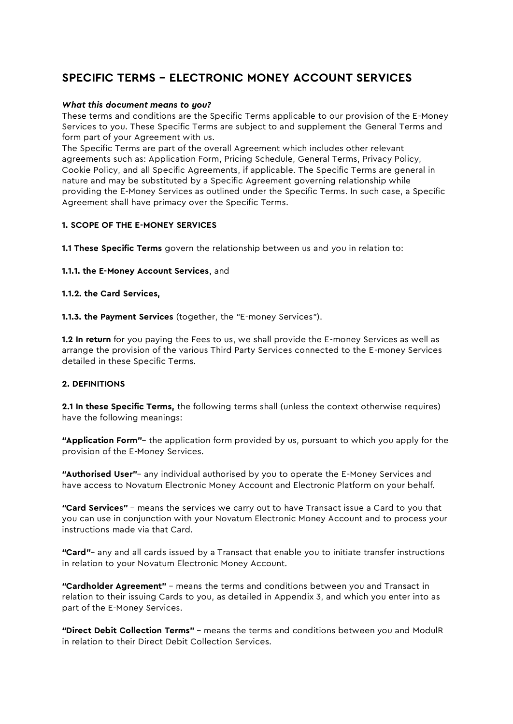# SPECIFIC TERMS – ELECTRONIC MONEY ACCOUNT SERVICES

## *What this document means to you?*

These terms and conditions are the Specific Terms applicable to our provision of the E-Money Services to you. These Specific Terms are subject to and supplement the General Terms and form part of your Agreement with us.

The Specific Terms are part of the overall Agreement which includes other relevant agreements such as: Application Form, Pricing Schedule, General Terms, Privacy Policy, Cookie Policy, and all Specific Agreements, if applicable. The Specific Terms are general in nature and may be substituted by a Specific Agreement governing relationship while providing the E-Money Services as outlined under the Specific Terms. In such case, a Specific Agreement shall have primacy over the Specific Terms.

# 1. SCOPE OF THE E-MONEY SERVICES

1.1 These Specific Terms govern the relationship between us and you in relation to:

1.1.1. the E-Money Account Services, and

1.1.2. the Card Services,

1.1.3. the Payment Services (together, the "E-money Services").

**1.2 In return** for you paying the Fees to us, we shall provide the E-money Services as well as arrange the provision of the various Third Party Services connected to the E-money Services detailed in these Specific Terms.

# 2. DEFINITIONS

2.1 In these Specific Terms, the following terms shall (unless the context otherwise requires) have the following meanings:

"Application Form"- the application form provided by us, pursuant to which you apply for the provision of the E-Money Services.

"Authorised User"- any individual authorised by you to operate the E-Money Services and have access to Novatum Electronic Money Account and Electronic Platform on your behalf.

"Card Services" - means the services we carry out to have Transact issue a Card to you that you can use in conjunction with your Novatum Electronic Money Account and to process your instructions made via that Card.

"Card"- any and all cards issued by a Transact that enable you to initiate transfer instructions in relation to your Novatum Electronic Money Account.

"Cardholder Agreement" – means the terms and conditions between you and Transact in relation to their issuing Cards to you, as detailed in Appendix 3, and which you enter into as part of the E-Money Services.

"Direct Debit Collection Terms" – means the terms and conditions between you and ModulR in relation to their Direct Debit Collection Services.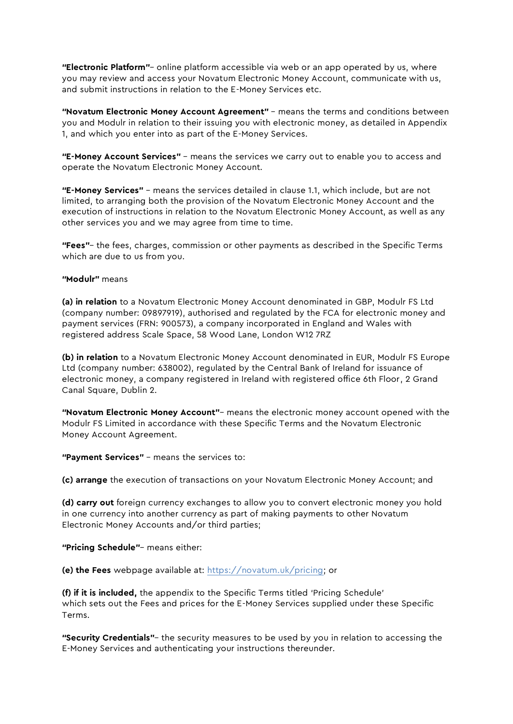**"Electronic Platform"** – online platform accessible via web or an app operated by us, where you may review and access your Novatum Electronic Money Account, communicate with us, and submit instructions in relation to the E-Money Services etc.

"Novatum Electronic Money Account Agreement" – means the terms and conditions between you and Modulr in relation to their issuing you with electronic money, as detailed in Appendix 1, and which you enter into as part of the E-Money Services.

"E-Money Account Services" – means the services we carry out to enable you to access and operate the Novatum Electronic Money Account.

"E-Money Services" – means the services detailed in clause 1.1, which include, but are not limited, to arranging both the provision of the Novatum Electronic Money Account and the execution of instructions in relation to the Novatum Electronic Money Account, as well as any other services you and we may agree from time to time.

"Fees"– the fees, charges, commission or other payments as described in the Specific Terms which are due to us from you.

# "Modulr" means

(a) in relation to a Novatum Electronic Money Account denominated in GBP, Modulr FS Ltd (company number: 09897919), authorised and regulated by the FCA for electronic money and payment services (FRN: 900573), a company incorporated in England and Wales with registered address Scale Space, 58 Wood Lane, London W12 7RZ

(b) in relation to a Novatum Electronic Money Account denominated in EUR, Modulr FS Europe Ltd (company number: 638002), regulated by the Central Bank of Ireland for issuance of electronic money, a company registered in Ireland with registered office 6th Floor, 2 Grand Canal Square, Dublin 2.

"Novatum Electronic Money Account"– means the electronic money account opened with the Modulr FS Limited in accordance with these Specific Terms and the Novatum Electronic Money Account Agreement.

"Payment Services" - means the services to:

(c) arrange the execution of transactions on your Novatum Electronic Money Account; and

(d) carry out foreign currency exchanges to allow you to convert electronic money you hold in one currency into another currency as part of making payments to other Novatum Electronic Money Accounts and/or third parties;

"Pricing Schedule"– means either:

(e) the Fees webpage available at: [https://novatum.uk/pricing;](https://novatum.uk/pricing) or

(f) if it is included, the appendix to the Specific Terms titled 'Pricing Schedule' which sets out the Fees and prices for the E-Money Services supplied under these Specific Terms.

"Security Credentials"– the security measures to be used by you in relation to accessing the E-Money Services and authenticating your instructions thereunder.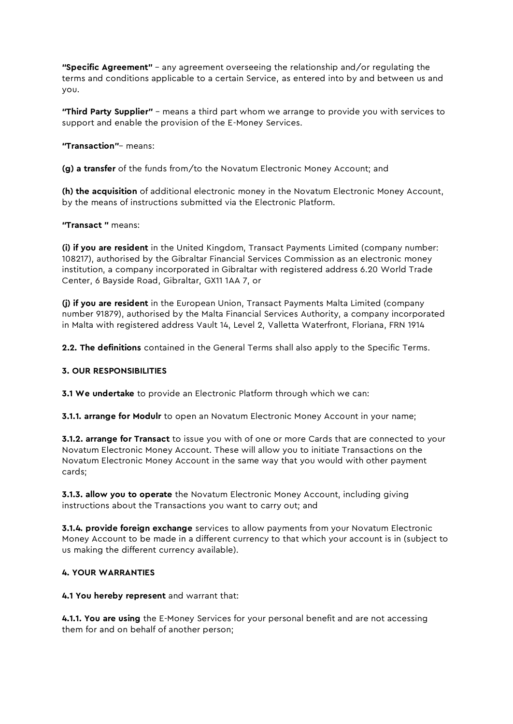**"Specific Agreement"** – any agreement overseeing the relationship and/or regulating the terms and conditions applicable to a certain Service, as entered into by and between us and you.

"Third Party Supplier" - means a third part whom we arrange to provide you with services to support and enable the provision of the E-Money Services.

"Transaction"– means:

(g) a transfer of the funds from/to the Novatum Electronic Money Account; and

(h) the acquisition of additional electronic money in the Novatum Electronic Money Account, by the means of instructions submitted via the Electronic Platform.

#### "Transact " means:

(i) if you are resident in the United Kingdom, Transact Payments Limited (company number: 108217), authorised by the Gibraltar Financial Services Commission as an electronic money institution, a company incorporated in Gibraltar with registered address 6.20 World Trade Center, 6 Bayside Road, Gibraltar, GX11 1AA 7, or

(j) if you are resident in the European Union, Transact Payments Malta Limited (company number 91879), authorised by the Malta Financial Services Authority, a company incorporated in Malta with registered address Vault 14, Level 2, Valletta Waterfront, Floriana, FRN 1914

2.2. The definitions contained in the General Terms shall also apply to the Specific Terms.

## 3. OUR RESPONSIBILITIES

**3.1 We undertake** to provide an Electronic Platform through which we can:

**3.1.1. arrange for Modulr** to open an Novatum Electronic Money Account in your name;

**3.1.2. arrange for Transact** to issue you with of one or more Cards that are connected to your Novatum Electronic Money Account. These will allow you to initiate Transactions on the Novatum Electronic Money Account in the same way that you would with other payment cards;

**3.1.3. allow you to operate** the Novatum Electronic Money Account, including giving instructions about the Transactions you want to carry out; and

**3.1.4. provide foreign exchange** services to allow payments from your Novatum Electronic Money Account to be made in a different currency to that which your account is in (subject to us making the different currency available).

#### 4. YOUR WARRANTIES

4.1 You hereby represent and warrant that:

4.1.1. You are using the E-Money Services for your personal benefit and are not accessing them for and on behalf of another person;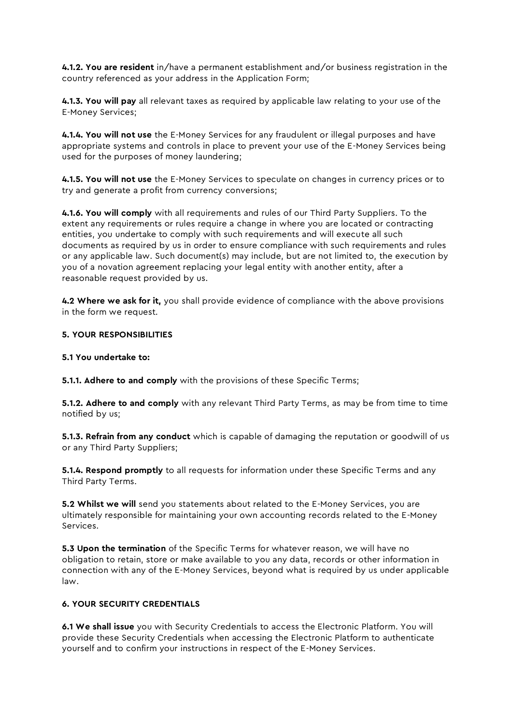4.1.2. You are resident in/have a permanent establishment and/or business registration in the country referenced as your address in the Application Form;

4.1.3. You will pay all relevant taxes as required by applicable law relating to your use of the E-Money Services;

4.1.4. You will not use the E-Money Services for any fraudulent or illegal purposes and have appropriate systems and controls in place to prevent your use of the E-Money Services being used for the purposes of money laundering;

4.1.5. You will not use the E-Money Services to speculate on changes in currency prices or to try and generate a profit from currency conversions;

4.1.6. You will comply with all requirements and rules of our Third Party Suppliers. To the extent any requirements or rules require a change in where you are located or contracting entities, you undertake to comply with such requirements and will execute all such documents as required by us in order to ensure compliance with such requirements and rules or any applicable law. Such document(s) may include, but are not limited to, the execution by you of a novation agreement replacing your legal entity with another entity, after a reasonable request provided by us.

4.2 Where we ask for it, you shall provide evidence of compliance with the above provisions in the form we request.

#### 5. YOUR RESPONSIBILITIES

#### 5.1 You undertake to:

**5.1.1. Adhere to and comply** with the provisions of these Specific Terms;

5.1.2. Adhere to and comply with any relevant Third Party Terms, as may be from time to time notified by us;

**5.1.3. Refrain from any conduct** which is capable of damaging the reputation or goodwill of us or any Third Party Suppliers;

**5.1.4. Respond promptly** to all requests for information under these Specific Terms and any Third Party Terms.

5.2 Whilst we will send you statements about related to the E-Money Services, you are ultimately responsible for maintaining your own accounting records related to the E-Money Services.

**5.3 Upon the termination** of the Specific Terms for whatever reason, we will have no obligation to retain, store or make available to you any data, records or other information in connection with any of the E-Money Services, beyond what is required by us under applicable law.

## 6. YOUR SECURITY CREDENTIALS

6.1 We shall issue you with Security Credentials to access the Electronic Platform. You will provide these Security Credentials when accessing the Electronic Platform to authenticate yourself and to confirm your instructions in respect of the E-Money Services.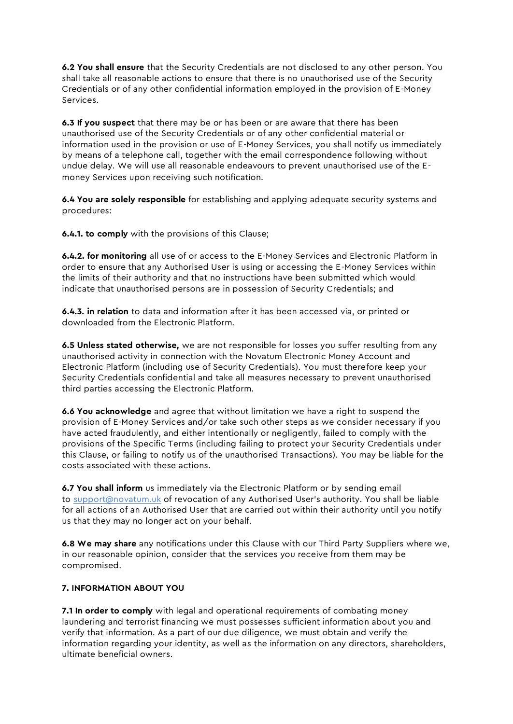6.2 You shall ensure that the Security Credentials are not disclosed to any other person. You shall take all reasonable actions to ensure that there is no unauthorised use of the Security Credentials or of any other confidential information employed in the provision of E-Money Services.

**6.3 If you suspect** that there may be or has been or are aware that there has been unauthorised use of the Security Credentials or of any other confidential material or information used in the provision or use of E-Money Services, you shall notify us immediately by means of a telephone call, together with the email correspondence following without undue delay. We will use all reasonable endeavours to prevent unauthorised use of the Emoney Services upon receiving such notification.

6.4 You are solely responsible for establishing and applying adequate security systems and procedures:

6.4.1. to comply with the provisions of this Clause;

6.4.2. for monitoring all use of or access to the E-Money Services and Electronic Platform in order to ensure that any Authorised User is using or accessing the E-Money Services within the limits of their authority and that no instructions have been submitted which would indicate that unauthorised persons are in possession of Security Credentials; and

6.4.3. in relation to data and information after it has been accessed via, or printed or downloaded from the Electronic Platform.

6.5 Unless stated otherwise, we are not responsible for losses you suffer resulting from any unauthorised activity in connection with the Novatum Electronic Money Account and Electronic Platform (including use of Security Credentials). You must therefore keep your Security Credentials confidential and take all measures necessary to prevent unauthorised third parties accessing the Electronic Platform.

6.6 You acknowledge and agree that without limitation we have a right to suspend the provision of E-Money Services and/or take such other steps as we consider necessary if you have acted fraudulently, and either intentionally or negligently, failed to comply with the provisions of the Specific Terms (including failing to protect your Security Credentials under this Clause, or failing to notify us of the unauthorised Transactions). You may be liable for the costs associated with these actions.

6.7 You shall inform us immediately via the Electronic Platform or by sending email to [support@novatum.uk](mailto:support@novatum.uk) of revocation of any Authorised User's authority. You shall be liable for all actions of an Authorised User that are carried out within their authority until you notify us that they may no longer act on your behalf.

6.8 We may share any notifications under this Clause with our Third Party Suppliers where we, in our reasonable opinion, consider that the services you receive from them may be compromised.

# 7. INFORMATION ABOUT YOU

7.1 In order to comply with legal and operational requirements of combating money laundering and terrorist financing we must possesses sufficient information about you and verify that information. As a part of our due diligence, we must obtain and verify the information regarding your identity, as well as the information on any directors, shareholders, ultimate beneficial owners.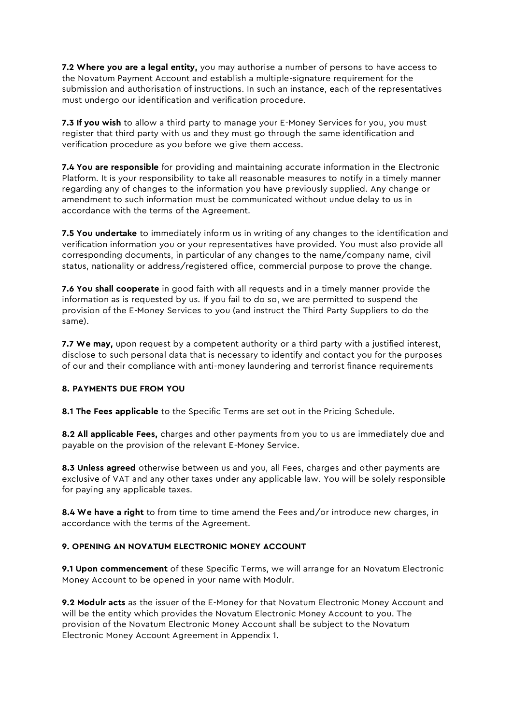7.2 Where you are a legal entity, you may authorise a number of persons to have access to the Novatum Payment Account and establish a multiple-signature requirement for the submission and authorisation of instructions. In such an instance, each of the representatives must undergo our identification and verification procedure.

7.3 If you wish to allow a third party to manage your E-Money Services for you, you must register that third party with us and they must go through the same identification and verification procedure as you before we give them access.

**7.4 You are responsible** for providing and maintaining accurate information in the Electronic Platform. It is your responsibility to take all reasonable measures to notify in a timely manner regarding any of changes to the information you have previously supplied. Any change or amendment to such information must be communicated without undue delay to us in accordance with the terms of the Agreement.

**7.5 You undertake** to immediately inform us in writing of any changes to the identification and verification information you or your representatives have provided. You must also provide all corresponding documents, in particular of any changes to the name/company name, civil status, nationality or address/registered office, commercial purpose to prove the change.

**7.6 You shall cooperate** in good faith with all requests and in a timely manner provide the information as is requested by us. If you fail to do so, we are permitted to suspend the provision of the E-Money Services to you (and instruct the Third Party Suppliers to do the same).

7.7 We may, upon request by a competent authority or a third party with a justified interest, disclose to such personal data that is necessary to identify and contact you for the purposes of our and their compliance with anti-money laundering and terrorist finance requirements

# 8. PAYMENTS DUE FROM YOU

8.1 The Fees applicable to the Specific Terms are set out in the Pricing Schedule.

8.2 All applicable Fees, charges and other payments from you to us are immediately due and payable on the provision of the relevant E-Money Service.

8.3 Unless agreed otherwise between us and you, all Fees, charges and other payments are exclusive of VAT and any other taxes under any applicable law. You will be solely responsible for paying any applicable taxes.

8.4 We have a right to from time to time amend the Fees and/or introduce new charges, in accordance with the terms of the Agreement.

## 9. OPENING AN NOVATUM ELECTRONIC MONEY ACCOUNT

9.1 Upon commencement of these Specific Terms, we will arrange for an Novatum Electronic Money Account to be opened in your name with Modulr.

9.2 Modulr acts as the issuer of the E-Money for that Novatum Electronic Money Account and will be the entity which provides the Novatum Electronic Money Account to you. The provision of the Novatum Electronic Money Account shall be subject to the Novatum Electronic Money Account Agreement in Appendix 1.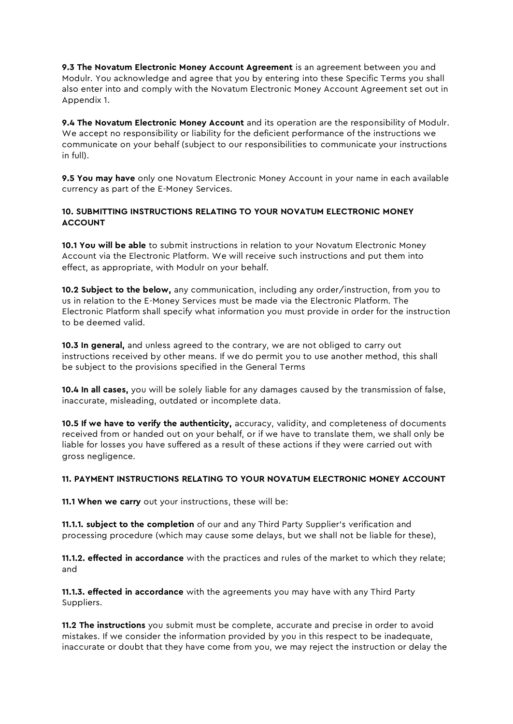9.3 The Novatum Electronic Money Account Agreement is an agreement between you and Modulr. You acknowledge and agree that you by entering into these Specific Terms you shall also enter into and comply with the Novatum Electronic Money Account Agreement set out in Appendix 1.

9.4 The Novatum Electronic Money Account and its operation are the responsibility of Modulr. We accept no responsibility or liability for the deficient performance of the instructions we communicate on your behalf (subject to our responsibilities to communicate your instructions in full).

9.5 You may have only one Novatum Electronic Money Account in your name in each available currency as part of the E-Money Services.

# 10. SUBMITTING INSTRUCTIONS RELATING TO YOUR NOVATUM ELECTRONIC MONEY ACCOUNT

10.1 You will be able to submit instructions in relation to your Novatum Electronic Money Account via the Electronic Platform. We will receive such instructions and put them into effect, as appropriate, with Modulr on your behalf.

10.2 Subject to the below, any communication, including any order/instruction, from you to us in relation to the E-Money Services must be made via the Electronic Platform. The Electronic Platform shall specify what information you must provide in order for the instruction to be deemed valid.

10.3 In general, and unless agreed to the contrary, we are not obliged to carry out instructions received by other means. If we do permit you to use another method, this shall be subject to the provisions specified in the General Terms

10.4 In all cases, you will be solely liable for any damages caused by the transmission of false, inaccurate, misleading, outdated or incomplete data.

10.5 If we have to verify the authenticity, accuracy, validity, and completeness of documents received from or handed out on your behalf, or if we have to translate them, we shall only be liable for losses you have suffered as a result of these actions if they were carried out with gross negligence.

## 11. PAYMENT INSTRUCTIONS RELATING TO YOUR NOVATUM ELECTRONIC MONEY ACCOUNT

11.1 When we carry out your instructions, these will be:

11.1.1. subject to the completion of our and any Third Party Supplier's verification and processing procedure (which may cause some delays, but we shall not be liable for these),

**11.1.2. effected in accordance** with the practices and rules of the market to which they relate; and

11.1.3. effected in accordance with the agreements you may have with any Third Party Suppliers.

11.2 The instructions you submit must be complete, accurate and precise in order to avoid mistakes. If we consider the information provided by you in this respect to be inadequate, inaccurate or doubt that they have come from you, we may reject the instruction or delay the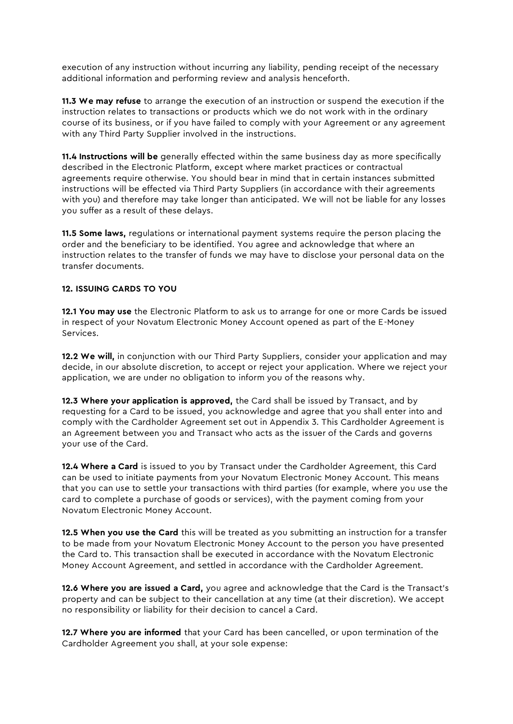execution of any instruction without incurring any liability, pending receipt of the necessary additional information and performing review and analysis henceforth.

11.3 We may refuse to arrange the execution of an instruction or suspend the execution if the instruction relates to transactions or products which we do not work with in the ordinary course of its business, or if you have failed to comply with your Agreement or any agreement with any Third Party Supplier involved in the instructions.

11.4 Instructions will be generally effected within the same business day as more specifically described in the Electronic Platform, except where market practices or contractual agreements require otherwise. You should bear in mind that in certain instances submitted instructions will be effected via Third Party Suppliers (in accordance with their agreements with you) and therefore may take longer than anticipated. We will not be liable for any losses you suffer as a result of these delays.

11.5 Some laws, regulations or international payment systems require the person placing the order and the beneficiary to be identified. You agree and acknowledge that where an instruction relates to the transfer of funds we may have to disclose your personal data on the transfer documents.

# 12. ISSUING CARDS TO YOU

12.1 You may use the Electronic Platform to ask us to arrange for one or more Cards be issued in respect of your Novatum Electronic Money Account opened as part of the E-Money Services.

12.2 We will, in conjunction with our Third Party Suppliers, consider your application and may decide, in our absolute discretion, to accept or reject your application. Where we reject your application, we are under no obligation to inform you of the reasons why.

12.3 Where your application is approved, the Card shall be issued by Transact, and by requesting for a Card to be issued, you acknowledge and agree that you shall enter into and comply with the Cardholder Agreement set out in Appendix 3. This Cardholder Agreement is an Agreement between you and Transact who acts as the issuer of the Cards and governs your use of the Card.

12.4 Where a Card is issued to you by Transact under the Cardholder Agreement, this Card can be used to initiate payments from your Novatum Electronic Money Account. This means that you can use to settle your transactions with third parties (for example, where you use the card to complete a purchase of goods or services), with the payment coming from your Novatum Electronic Money Account.

12.5 When you use the Card this will be treated as you submitting an instruction for a transfer to be made from your Novatum Electronic Money Account to the person you have presented the Card to. This transaction shall be executed in accordance with the Novatum Electronic Money Account Agreement, and settled in accordance with the Cardholder Agreement.

12.6 Where you are issued a Card, you agree and acknowledge that the Card is the Transact's property and can be subject to their cancellation at any time (at their discretion). We accept no responsibility or liability for their decision to cancel a Card.

12.7 Where you are informed that your Card has been cancelled, or upon termination of the Cardholder Agreement you shall, at your sole expense: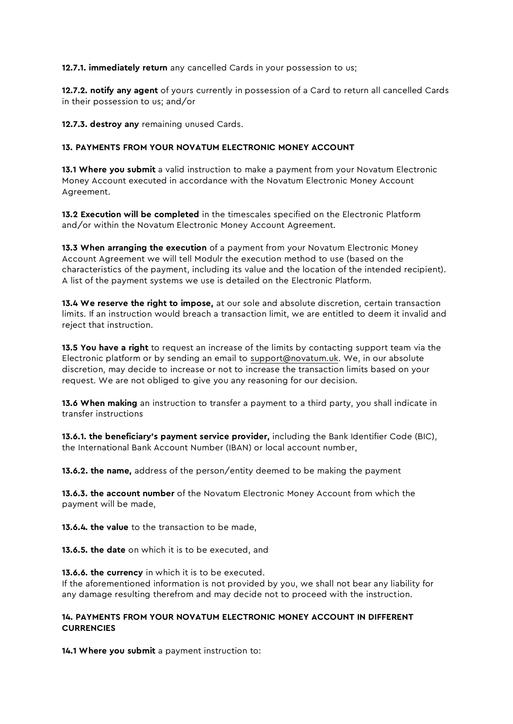12.7.1. immediately return any cancelled Cards in your possession to us;

12.7.2. notify any agent of yours currently in possession of a Card to return all cancelled Cards in their possession to us; and/or

12.7.3. destroy any remaining unused Cards.

# 13. PAYMENTS FROM YOUR NOVATUM ELECTRONIC MONEY ACCOUNT

13.1 Where you submit a valid instruction to make a payment from your Novatum Electronic Money Account executed in accordance with the Novatum Electronic Money Account Agreement.

13.2 Execution will be completed in the timescales specified on the Electronic Platform and/or within the Novatum Electronic Money Account Agreement.

13.3 When arranging the execution of a payment from your Novatum Electronic Money Account Agreement we will tell Modulr the execution method to use (based on the characteristics of the payment, including its value and the location of the intended recipient). A list of the payment systems we use is detailed on the Electronic Platform.

13.4 We reserve the right to impose, at our sole and absolute discretion, certain transaction limits. If an instruction would breach a transaction limit, we are entitled to deem it invalid and reject that instruction.

13.5 You have a right to request an increase of the limits by contacting support team via the Electronic platform or by sending an email to [support@novatum.uk.](mailto:support@novatum.uk) We, in our absolute discretion, may decide to increase or not to increase the transaction limits based on your request. We are not obliged to give you any reasoning for our decision.

13.6 When making an instruction to transfer a payment to a third party, you shall indicate in transfer instructions

13.6.1. the beneficiary's payment service provider, including the Bank Identifier Code (BIC), the International Bank Account Number (IBAN) or local account number,

13.6.2. the name, address of the person/entity deemed to be making the payment

13.6.3. the account number of the Novatum Electronic Money Account from which the payment will be made,

13.6.4. the value to the transaction to be made,

13.6.5. the date on which it is to be executed, and

13.6.6. the currency in which it is to be executed. If the aforementioned information is not provided by you, we shall not bear any liability for any damage resulting therefrom and may decide not to proceed with the instruction.

# 14. PAYMENTS FROM YOUR NOVATUM ELECTRONIC MONEY ACCOUNT IN DIFFERENT **CURRENCIES**

14.1 Where you submit a payment instruction to: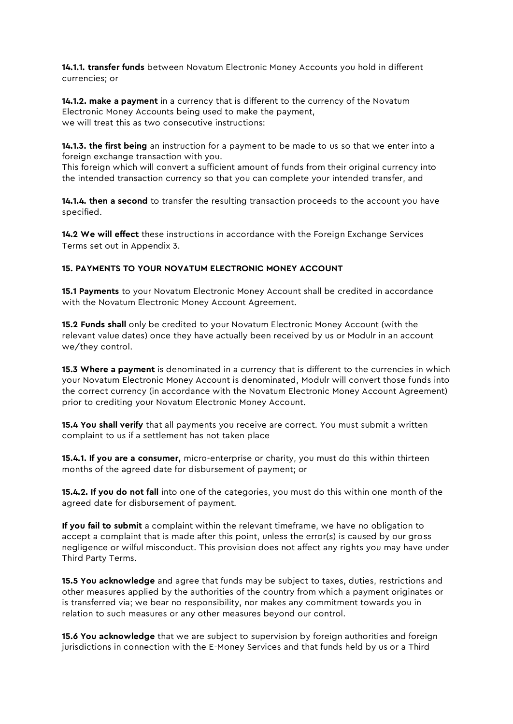14.1.1. transfer funds between Novatum Electronic Money Accounts you hold in different currencies; or

14.1.2. make a payment in a currency that is different to the currency of the Novatum Electronic Money Accounts being used to make the payment, we will treat this as two consecutive instructions:

14.1.3. the first being an instruction for a payment to be made to us so that we enter into a foreign exchange transaction with you.

This foreign which will convert a sufficient amount of funds from their original currency into the intended transaction currency so that you can complete your intended transfer, and

14.1.4. then a second to transfer the resulting transaction proceeds to the account you have specified.

14.2 We will effect these instructions in accordance with the Foreign Exchange Services Terms set out in Appendix 3.

## 15. PAYMENTS TO YOUR NOVATUM ELECTRONIC MONEY ACCOUNT

**15.1 Payments** to your Novatum Electronic Money Account shall be credited in accordance with the Novatum Electronic Money Account Agreement.

15.2 Funds shall only be credited to your Novatum Electronic Money Account (with the relevant value dates) once they have actually been received by us or Modulr in an account we/they control.

**15.3 Where a payment** is denominated in a currency that is different to the currencies in which your Novatum Electronic Money Account is denominated, Modulr will convert those funds into the correct currency (in accordance with the Novatum Electronic Money Account Agreement) prior to crediting your Novatum Electronic Money Account.

**15.4 You shall verify** that all payments you receive are correct. You must submit a written complaint to us if a settlement has not taken place

**15.4.1. If you are a consumer,** micro-enterprise or charity, you must do this within thirteen months of the agreed date for disbursement of payment; or

**15.4.2. If you do not fall** into one of the categories, you must do this within one month of the agreed date for disbursement of payment.

If you fail to submit a complaint within the relevant timeframe, we have no obligation to accept a complaint that is made after this point, unless the error(s) is caused by our gross negligence or wilful misconduct. This provision does not affect any rights you may have under Third Party Terms.

15.5 You acknowledge and agree that funds may be subject to taxes, duties, restrictions and other measures applied by the authorities of the country from which a payment originates or is transferred via; we bear no responsibility, nor makes any commitment towards you in relation to such measures or any other measures beyond our control.

**15.6 You acknowledge** that we are subject to supervision by foreign authorities and foreign jurisdictions in connection with the E-Money Services and that funds held by us or a Third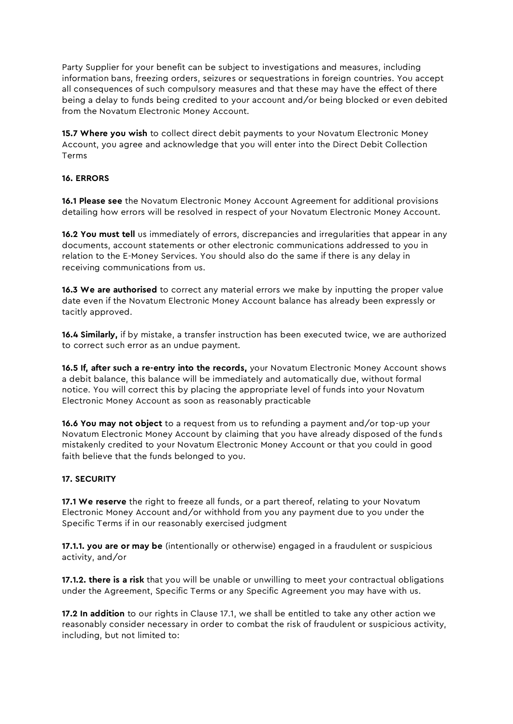Party Supplier for your benefit can be subject to investigations and measures, including information bans, freezing orders, seizures or sequestrations in foreign countries. You accept all consequences of such compulsory measures and that these may have the effect of there being a delay to funds being credited to your account and/or being blocked or even debited from the Novatum Electronic Money Account.

**15.7 Where you wish** to collect direct debit payments to your Novatum Electronic Money Account, you agree and acknowledge that you will enter into the Direct Debit Collection Terms

## 16. ERRORS

16.1 Please see the Novatum Electronic Money Account Agreement for additional provisions detailing how errors will be resolved in respect of your Novatum Electronic Money Account.

16.2 You must tell us immediately of errors, discrepancies and irreqularities that appear in any documents, account statements or other electronic communications addressed to you in relation to the E-Money Services. You should also do the same if there is any delay in receiving communications from us.

16.3 We are authorised to correct any material errors we make by inputting the proper value date even if the Novatum Electronic Money Account balance has already been expressly or tacitly approved.

16.4 Similarly, if by mistake, a transfer instruction has been executed twice, we are authorized to correct such error as an undue payment.

16.5 If, after such a re-entry into the records, your Novatum Electronic Money Account shows a debit balance, this balance will be immediately and automatically due, without formal notice. You will correct this by placing the appropriate level of funds into your Novatum Electronic Money Account as soon as reasonably practicable

16.6 You may not object to a request from us to refunding a payment and/or top-up your Novatum Electronic Money Account by claiming that you have already disposed of the funds mistakenly credited to your Novatum Electronic Money Account or that you could in good faith believe that the funds belonged to you.

## 17. SECURITY

17.1 We reserve the right to freeze all funds, or a part thereof, relating to your Novatum Electronic Money Account and/or withhold from you any payment due to you under the Specific Terms if in our reasonably exercised judgment

17.1.1. you are or may be (intentionally or otherwise) engaged in a fraudulent or suspicious activity, and/or

17.1.2. there is a risk that you will be unable or unwilling to meet your contractual obligations under the Agreement, Specific Terms or any Specific Agreement you may have with us.

17.2 In addition to our rights in Clause 17.1, we shall be entitled to take any other action we reasonably consider necessary in order to combat the risk of fraudulent or suspicious activity, including, but not limited to: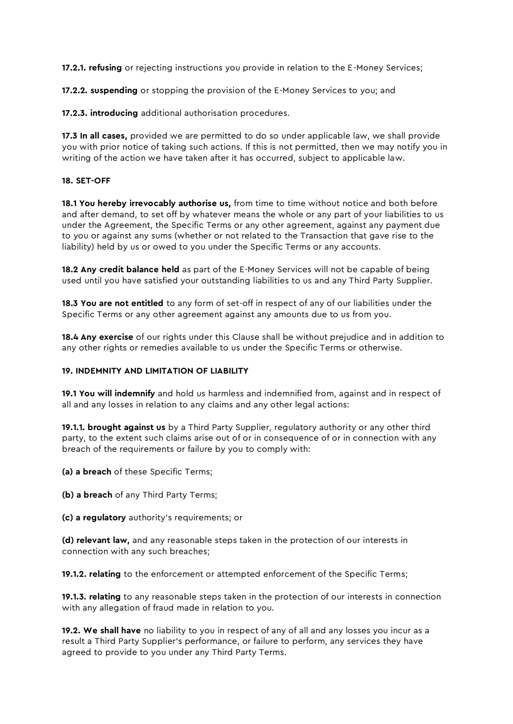**17.2.1. refusing** or rejecting instructions you provide in relation to the E-Money Services;

17.2.2. suspending or stopping the provision of the E-Money Services to you; and

17.2.3. introducing additional authorisation procedures.

17.3 In all cases, provided we are permitted to do so under applicable law, we shall provide you with prior notice of taking such actions. If this is not permitted, then we may notify you in writing of the action we have taken after it has occurred, subject to applicable law.

#### 18. SET-OFF

18.1 You hereby irrevocably authorise us, from time to time without notice and both before and after demand, to set off by whatever means the whole or any part of your liabilities to us under the Agreement, the Specific Terms or any other agreement, against any payment due to you or against any sums (whether or not related to the Transaction that gave rise to the liability) held by us or owed to you under the Specific Terms or any accounts.

**18.2 Any credit balance held** as part of the E-Money Services will not be capable of being used until you have satisfied your outstanding liabilities to us and any Third Party Supplier.

18.3 You are not entitled to any form of set-off in respect of any of our liabilities under the Specific Terms or any other agreement against any amounts due to us from you.

**18.4 Any exercise** of our rights under this Clause shall be without prejudice and in addition to any other rights or remedies available to us under the Specific Terms or otherwise.

#### 19. INDEMNITY AND LIMITATION OF LIABILITY

19.1 You will indemnify and hold us harmless and indemnified from, against and in respect of all and any losses in relation to any claims and any other legal actions:

19.1.1. brought against us by a Third Party Supplier, regulatory authority or any other third party, to the extent such claims arise out of or in consequence of or in connection with any breach of the requirements or failure by you to comply with:

(a) a breach of these Specific Terms;

(b) a breach of any Third Party Terms;

(c) a regulatory authority's requirements; or

(d) relevant law, and any reasonable steps taken in the protection of our interests in connection with any such breaches;

19.1.2. relating to the enforcement or attempted enforcement of the Specific Terms;

19.1.3. relating to any reasonable steps taken in the protection of our interests in connection with any allegation of fraud made in relation to you.

19.2. We shall have no liability to you in respect of any of all and any losses you incur as a result a Third Party Supplier's performance, or failure to perform, any services they have agreed to provide to you under any Third Party Terms.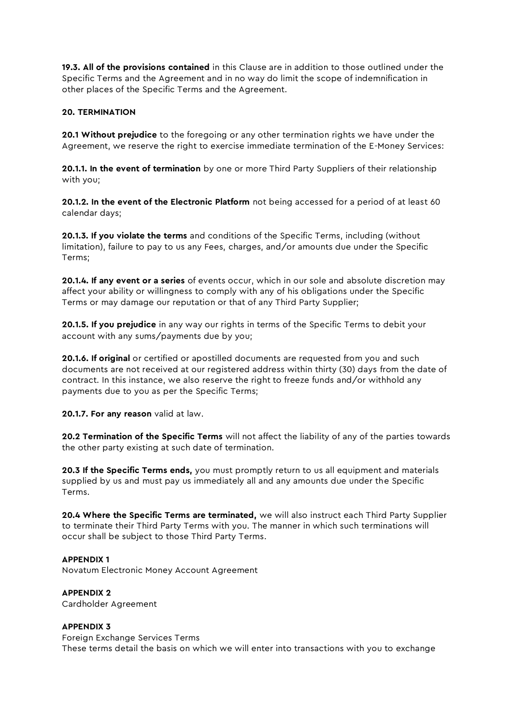19.3. All of the provisions contained in this Clause are in addition to those outlined under the Specific Terms and the Agreement and in no way do limit the scope of indemnification in other places of the Specific Terms and the Agreement.

# 20. TERMINATION

**20.1 Without prejudice** to the foregoing or any other termination rights we have under the Agreement, we reserve the right to exercise immediate termination of the E-Money Services:

20.1.1. In the event of termination by one or more Third Party Suppliers of their relationship with you;

20.1.2. In the event of the Electronic Platform not being accessed for a period of at least 60 calendar days;

20.1.3. If you violate the terms and conditions of the Specific Terms, including (without limitation), failure to pay to us any Fees, charges, and/or amounts due under the Specific Terms;

20.1.4. If any event or a series of events occur, which in our sole and absolute discretion may affect your ability or willingness to comply with any of his obligations under the Specific Terms or may damage our reputation or that of any Third Party Supplier;

20.1.5. If you prejudice in any way our rights in terms of the Specific Terms to debit your account with any sums/payments due by you;

**20.1.6. If original** or certified or apostilled documents are requested from you and such documents are not received at our registered address within thirty (30) days from the date of contract. In this instance, we also reserve the right to freeze funds and/or withhold any payments due to you as per the Specific Terms;

20.1.7. For any reason valid at law.

20.2 Termination of the Specific Terms will not affect the liability of any of the parties towards the other party existing at such date of termination.

**20.3 If the Specific Terms ends,** you must promptly return to us all equipment and materials supplied by us and must pay us immediately all and any amounts due under the Specific Terms.

20.4 Where the Specific Terms are terminated, we will also instruct each Third Party Supplier to terminate their Third Party Terms with you. The manner in which such terminations will occur shall be subject to those Third Party Terms.

## APPENDIX 1

Novatum Electronic Money Account Agreement

#### APPENDIX 2

Cardholder Agreement

#### APPENDIX 3

Foreign Exchange Services Terms These terms detail the basis on which we will enter into transactions with you to exchange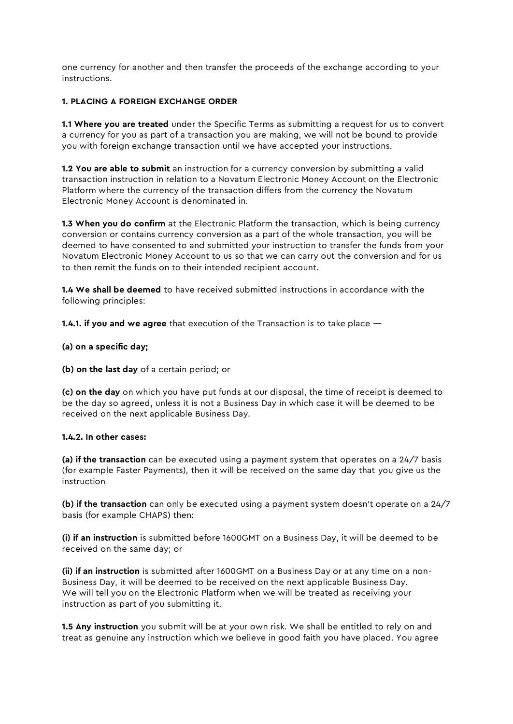one currency for another and then transfer the proceeds of the exchange according to your instructions.

# 1. PLACING A FOREIGN EXCHANGE ORDER

1.1 Where you are treated under the Specific Terms as submitting a request for us to convert a currency for you as part of a transaction you are making, we will not be bound to provide you with foreign exchange transaction until we have accepted your instructions.

**1.2 You are able to submit** an instruction for a currency conversion by submitting a valid transaction instruction in relation to a Novatum Electronic Money Account on the Electronic Platform where the currency of the transaction differs from the currency the Novatum Electronic Money Account is denominated in.

**1.3 When you do confirm** at the Electronic Platform the transaction, which is being currency conversion or contains currency conversion as a part of the whole transaction, you will be deemed to have consented to and submitted your instruction to transfer the funds from your Novatum Electronic Money Account to us so that we can carry out the conversion and for us to then remit the funds on to their intended recipient account.

1.4 We shall be deemed to have received submitted instructions in accordance with the following principles:

**1.4.1. if you and we agree** that execution of the Transaction is to take place  $-$ 

(a) on a specific day;

(b) on the last day of a certain period; or

(c) on the day on which you have put funds at our disposal, the time of receipt is deemed to be the day so agreed, unless it is not a Business Day in which case it will be deemed to be received on the next applicable Business Day.

## 1.4.2. In other cases:

(a) if the transaction can be executed using a payment system that operates on a  $24/7$  basis (for example Faster Payments), then it will be received on the same day that you give us the instruction

(b) if the transaction can only be executed using a payment system doesn't operate on a 24/7 basis (for example CHAPS) then:

(i) if an instruction is submitted before 1600GMT on a Business Day, it will be deemed to be received on the same day; or

(ii) if an instruction is submitted after 1600GMT on a Business Day or at any time on a non-Business Day, it will be deemed to be received on the next applicable Business Day. We will tell you on the Electronic Platform when we will be treated as receiving your instruction as part of you submitting it.

**1.5 Any instruction** you submit will be at your own risk. We shall be entitled to rely on and treat as genuine any instruction which we believe in good faith you have placed. You agree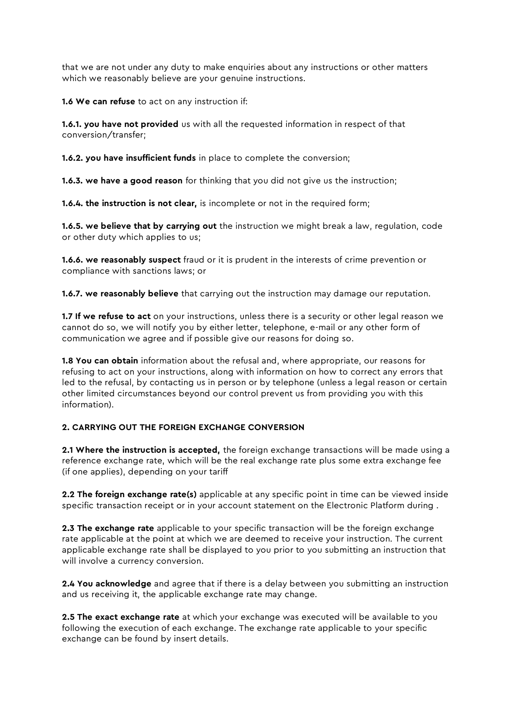that we are not under any duty to make enquiries about any instructions or other matters which we reasonably believe are your genuine instructions.

1.6 We can refuse to act on any instruction if:

1.6.1. you have not provided us with all the requested information in respect of that conversion/transfer;

**1.6.2. you have insufficient funds** in place to complete the conversion;

**1.6.3. we have a good reason** for thinking that you did not give us the instruction;

1.6.4. the instruction is not clear, is incomplete or not in the required form;

**1.6.5. we believe that by carrying out** the instruction we might break a law, regulation, code or other duty which applies to us;

**1.6.6. we reasonably suspect** fraud or it is prudent in the interests of crime prevention or compliance with sanctions laws; or

**1.6.7. we reasonably believe** that carrying out the instruction may damage our reputation.

1.7 If we refuse to act on your instructions, unless there is a security or other legal reason we cannot do so, we will notify you by either letter, telephone, e-mail or any other form of communication we agree and if possible give our reasons for doing so.

**1.8 You can obtain** information about the refusal and, where appropriate, our reasons for refusing to act on your instructions, along with information on how to correct any errors that led to the refusal, by contacting us in person or by telephone (unless a legal reason or certain other limited circumstances beyond our control prevent us from providing you with this information).

# 2. CARRYING OUT THE FOREIGN EXCHANGE CONVERSION

2.1 Where the instruction is accepted, the foreign exchange transactions will be made using a reference exchange rate, which will be the real exchange rate plus some extra exchange fee (if one applies), depending on your tariff

2.2 The foreign exchange rate(s) applicable at any specific point in time can be viewed inside specific transaction receipt or in your account statement on the Electronic Platform during .

**2.3 The exchange rate** applicable to your specific transaction will be the foreign exchange rate applicable at the point at which we are deemed to receive your instruction. The current applicable exchange rate shall be displayed to you prior to you submitting an instruction that will involve a currency conversion.

**2.4 You acknowledge** and agree that if there is a delay between you submitting an instruction and us receiving it, the applicable exchange rate may change.

**2.5 The exact exchange rate** at which your exchange was executed will be available to you following the execution of each exchange. The exchange rate applicable to your specific exchange can be found by insert details.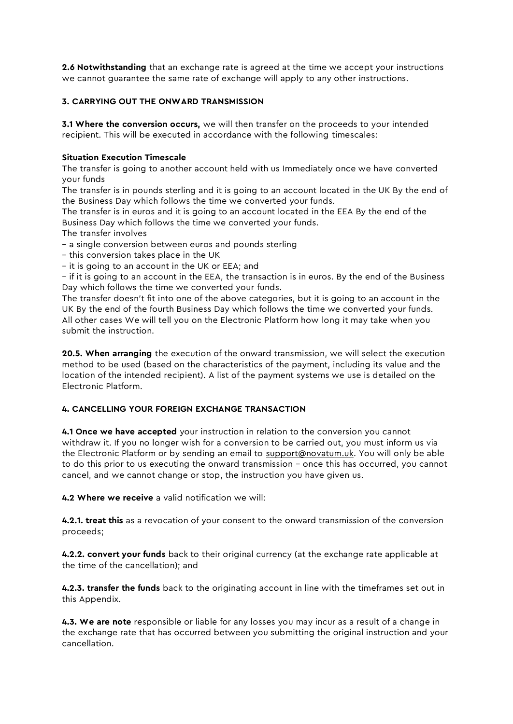2.6 Notwithstanding that an exchange rate is agreed at the time we accept your instructions we cannot guarantee the same rate of exchange will apply to any other instructions.

# 3. CARRYING OUT THE ONWARD TRANSMISSION

**3.1 Where the conversion occurs,** we will then transfer on the proceeds to your intended recipient. This will be executed in accordance with the following timescales:

# Situation Execution Timescale

The transfer is going to another account held with us Immediately once we have converted your funds

The transfer is in pounds sterling and it is going to an account located in the UK By the end of the Business Day which follows the time we converted your funds.

The transfer is in euros and it is going to an account located in the EEA By the end of the Business Day which follows the time we converted your funds.

The transfer involves

– a single conversion between euros and pounds sterling

– this conversion takes place in the UK

– it is going to an account in the UK or EEA; and

– if it is going to an account in the EEA, the transaction is in euros. By the end of the Business Day which follows the time we converted your funds.

The transfer doesn't fit into one of the above categories, but it is going to an account in the UK By the end of the fourth Business Day which follows the time we converted your funds. All other cases We will tell you on the Electronic Platform how long it may take when you submit the instruction.

20.5. When arranging the execution of the onward transmission, we will select the execution method to be used (based on the characteristics of the payment, including its value and the location of the intended recipient). A list of the payment systems we use is detailed on the Electronic Platform.

# 4. CANCELLING YOUR FOREIGN EXCHANGE TRANSACTION

4.1 Once we have accepted your instruction in relation to the conversion you cannot withdraw it. If you no longer wish for a conversion to be carried out, you must inform us via the Electronic Platform or by sending an email to [support@novatum.uk.](mailto:support@novatum.uk) You will only be able to do this prior to us executing the onward transmission – once this has occurred, you cannot cancel, and we cannot change or stop, the instruction you have given us.

4.2 Where we receive a valid notification we will:

4.2.1. treat this as a revocation of your consent to the onward transmission of the conversion proceeds;

4.2.2. convert your funds back to their original currency (at the exchange rate applicable at the time of the cancellation); and

4.2.3. transfer the funds back to the originating account in line with the timeframes set out in this Appendix.

4.3. We are note responsible or liable for any losses you may incur as a result of a change in the exchange rate that has occurred between you submitting the original instruction and your cancellation.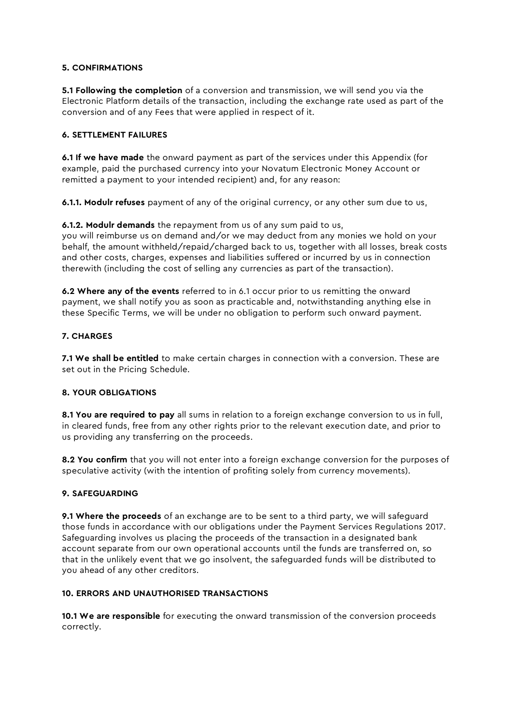## 5. CONFIRMATIONS

**5.1 Following the completion** of a conversion and transmission, we will send you via the Electronic Platform details of the transaction, including the exchange rate used as part of the conversion and of any Fees that were applied in respect of it.

## 6. SETTLEMENT FAILURES

6.1 If we have made the onward payment as part of the services under this Appendix (for example, paid the purchased currency into your Novatum Electronic Money Account or remitted a payment to your intended recipient) and, for any reason:

6.1.1. Modulr refuses payment of any of the original currency, or any other sum due to us,

6.1.2. Modulr demands the repayment from us of any sum paid to us, you will reimburse us on demand and/or we may deduct from any monies we hold on your behalf, the amount withheld/repaid/charged back to us, together with all losses, break costs and other costs, charges, expenses and liabilities suffered or incurred by us in connection therewith (including the cost of selling any currencies as part of the transaction).

6.2 Where any of the events referred to in 6.1 occur prior to us remitting the onward payment, we shall notify you as soon as practicable and, notwithstanding anything else in these Specific Terms, we will be under no obligation to perform such onward payment.

## 7. CHARGES

7.1 We shall be entitled to make certain charges in connection with a conversion. These are set out in the Pricing Schedule.

## 8. YOUR OBLIGATIONS

8.1 You are required to pay all sums in relation to a foreign exchange conversion to us in full, in cleared funds, free from any other rights prior to the relevant execution date, and prior to us providing any transferring on the proceeds.

8.2 You confirm that you will not enter into a foreign exchange conversion for the purposes of speculative activity (with the intention of profiting solely from currency movements).

## 9. SAFEGUARDING

**9.1 Where the proceeds** of an exchange are to be sent to a third party, we will safeguard those funds in accordance with our obligations under the Payment Services Regulations 2017. Safeguarding involves us placing the proceeds of the transaction in a designated bank account separate from our own operational accounts until the funds are transferred on, so that in the unlikely event that we go insolvent, the safeguarded funds will be distributed to you ahead of any other creditors.

## 10. ERRORS AND UNAUTHORISED TRANSACTIONS

10.1 We are responsible for executing the onward transmission of the conversion proceeds correctly.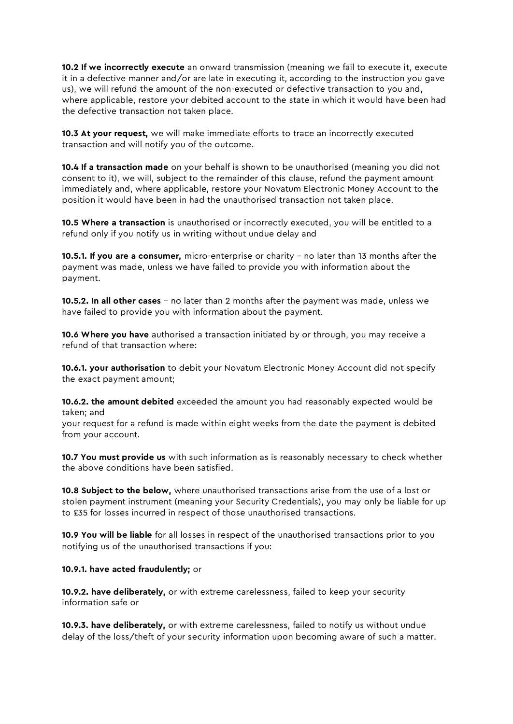10.2 If we incorrectly execute an onward transmission (meaning we fail to execute it, execute it in a defective manner and/or are late in executing it, according to the instruction you gave us), we will refund the amount of the non-executed or defective transaction to you and, where applicable, restore your debited account to the state in which it would have been had the defective transaction not taken place.

10.3 At your request, we will make immediate efforts to trace an incorrectly executed transaction and will notify you of the outcome.

10.4 If a transaction made on your behalf is shown to be unauthorised (meaning you did not consent to it), we will, subject to the remainder of this clause, refund the payment amount immediately and, where applicable, restore your Novatum Electronic Money Account to the position it would have been in had the unauthorised transaction not taken place.

10.5 Where a transaction is unauthorised or incorrectly executed, you will be entitled to a refund only if you notify us in writing without undue delay and

10.5.1. If you are a consumer, micro-enterprise or charity – no later than 13 months after the payment was made, unless we have failed to provide you with information about the payment.

10.5.2. In all other cases - no later than 2 months after the payment was made, unless we have failed to provide you with information about the payment.

10.6 Where you have authorised a transaction initiated by or through, you may receive a refund of that transaction where:

**10.6.1. your authorisation** to debit your Novatum Electronic Money Account did not specify the exact payment amount;

10.6.2. the amount debited exceeded the amount you had reasonably expected would be taken; and

your request for a refund is made within eight weeks from the date the payment is debited from your account.

10.7 You must provide us with such information as is reasonably necessary to check whether the above conditions have been satisfied.

10.8 Subject to the below, where unauthorised transactions arise from the use of a lost or stolen payment instrument (meaning your Security Credentials), you may only be liable for up to £35 for losses incurred in respect of those unauthorised transactions.

10.9 You will be liable for all losses in respect of the unauthorised transactions prior to you notifying us of the unauthorised transactions if you:

## 10.9.1. have acted fraudulently; or

10.9.2. have deliberately, or with extreme carelessness, failed to keep your security information safe or

10.9.3. have deliberately, or with extreme carelessness, failed to notify us without undue delay of the loss/theft of your security information upon becoming aware of such a matter.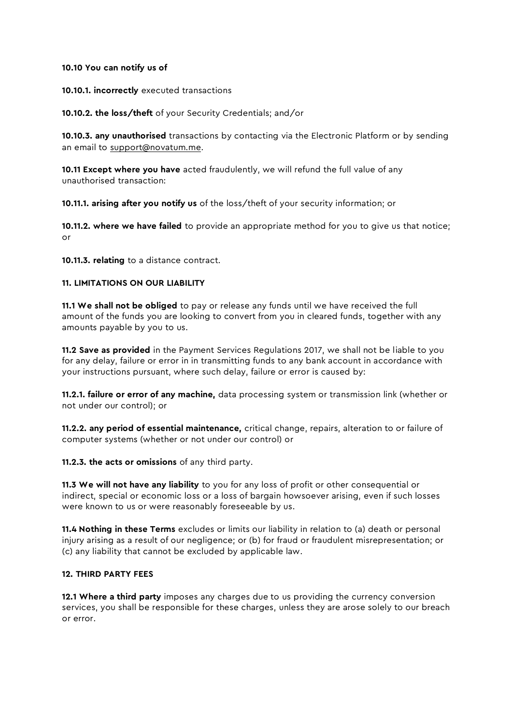#### 10.10 You can notify us of

#### 10.10.1. incorrectly executed transactions

10.10.2. the loss/theft of your Security Credentials; and/or

10.10.3. any unauthorised transactions by contacting via the Electronic Platform or by sending an email to [support@novatum.me.](mailto:support@novatum.me)

10.11 Except where you have acted fraudulently, we will refund the full value of any unauthorised transaction:

10.11.1. arising after you notify us of the loss/theft of your security information; or

**10.11.2. where we have failed** to provide an appropriate method for you to give us that notice; or

10.11.3. relating to a distance contract.

## 11. LIMITATIONS ON OUR LIABILITY

11.1 We shall not be obliged to pay or release any funds until we have received the full amount of the funds you are looking to convert from you in cleared funds, together with any amounts payable by you to us.

11.2 Save as provided in the Payment Services Regulations 2017, we shall not be liable to you for any delay, failure or error in in transmitting funds to any bank account in accordance with your instructions pursuant, where such delay, failure or error is caused by:

**11.2.1. failure or error of any machine,** data processing system or transmission link (whether or not under our control); or

11.2.2. any period of essential maintenance, critical change, repairs, alteration to or failure of computer systems (whether or not under our control) or

11.2.3. the acts or omissions of any third party.

11.3 We will not have any liability to you for any loss of profit or other consequential or indirect, special or economic loss or a loss of bargain howsoever arising, even if such losses were known to us or were reasonably foreseeable by us.

11.4 Nothing in these Terms excludes or limits our liability in relation to (a) death or personal injury arising as a result of our negligence; or (b) for fraud or fraudulent misrepresentation; or (c) any liability that cannot be excluded by applicable law.

#### 12. THIRD PARTY FEES

12.1 Where a third party imposes any charges due to us providing the currency conversion services, you shall be responsible for these charges, unless they are arose solely to our breach or error.